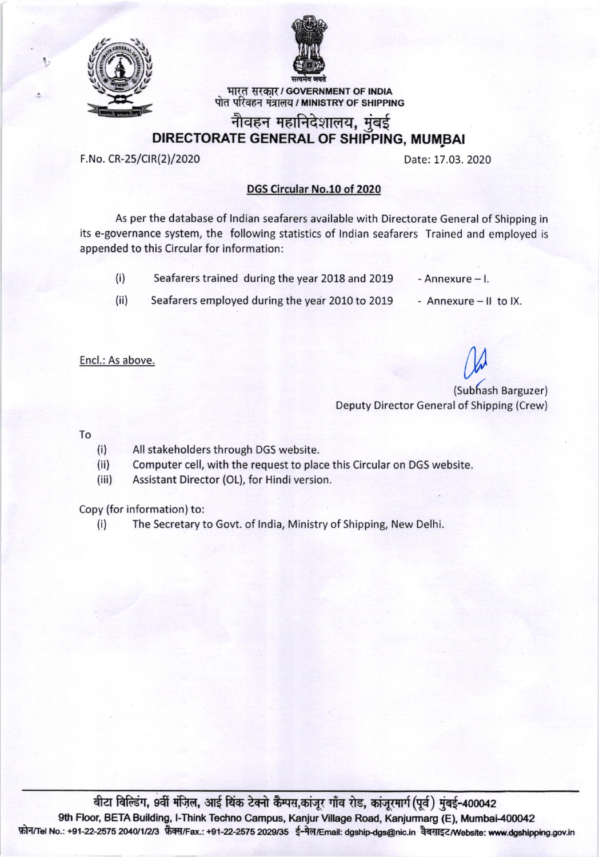



भारत सरकार / GOVERNMENT OF INDIA पोत परिवहन मंत्रालय / MINISTRY OF SHIPPING

## नौवहन महानिदेशालय, मुंबई DIRECTORATE GENERAL OF SHIPPING, MUMBAI

F.No. CR-25/CIR(2)/2020 Date: 17.03. 2020

## DGS Circular No.10 of 2020

As per the database of lndian seafarers available with Directorate General of Shipping in its e-governance system, the following statistics of lndian seafarers Trained and employed is appended to this Circular for information:

- (i) Seafarers trained during the year 2018 and 2019 Annexure  $-1$ .
- (ii) Seafarers employed during the year 2010 to 2019 Annexure-ll tolX.
- 
- 

Encl.: As above.

M

(Subhash Barguzer) Deputy Director General of Shipping (Crew)

To

- (i) All stakeholders through DGS website.
- (ii) Computer cell, with the request to place this Circular on DGS website.
- (iii) Assistant Director (OL), for Hindi version.

Copy (for information) to:

(i) The Secretary to Gow. of lndia, Ministry of Shipping, New Delhi.

बीटा बिल्डिंग, 9वीं मंज़िल, आई थिंक टेक्नो कैम्पस,कांजुर गाँव रोड, कांजुरमार्ग(पूर्व) मुंबई-400042 9th Floor, BETA Building, l-Think Techno Campus, Kanjur Village Road, Kanjurmarg (E), Mumbai-400042 फ़ोन/Tel No.: +91-22-2575 2040/1/2/3 फ़ैक्स/Fax.: +91-22-2575 2029/35 ई-मेल/Email: dgship-dgs@nic.in वैबसाइट/Website: www.dgshipping.gov.in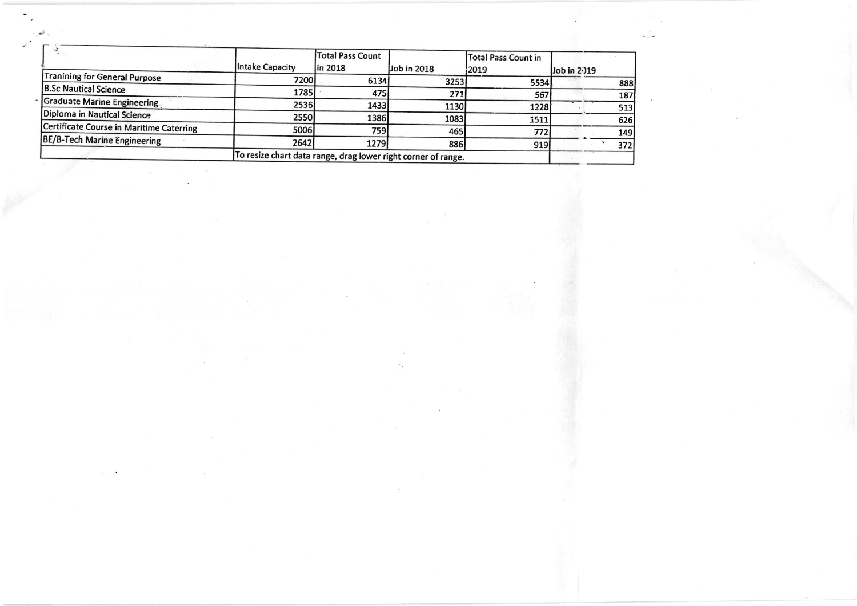|                                          |                                                               | Total Pass Count |             | Total Pass Count in |             |
|------------------------------------------|---------------------------------------------------------------|------------------|-------------|---------------------|-------------|
|                                          | Intake Capacity                                               | lin 2018         | Job in 2018 | 2019                | Job in 2019 |
| Tranining for General Purpose            | 7200                                                          | 6134             | 3253        | 5534                | 888         |
| <b>B.Sc Nautical Science</b>             | 1785                                                          | 475              | 271         | 567                 | 187         |
| Graduate Marine Engineering              | 2536                                                          | 1433             | 1130        | 1228                | 513         |
| Diploma in Nautical Science              | 2550                                                          | 1386             | 1083        | 1511                | 626         |
| Certificate Course in Maritime Caterring | 5006                                                          | 759              | 465         | 772                 | <b>149</b>  |
| BE/B-Tech Marine Engineering             | 2642                                                          | 1279             | 886         | 919                 | 372         |
|                                          | To resize chart data range, drag lower right corner of range. |                  |             |                     |             |

 $\epsilon$  .

 $\mathcal{F}_{\mathcal{G}}$  .